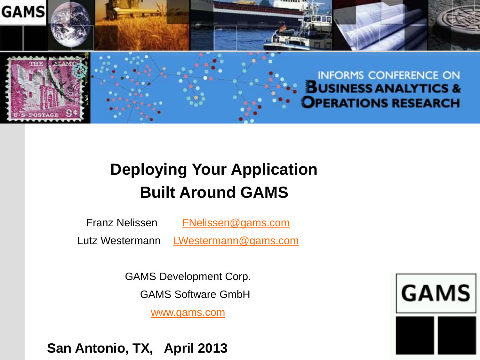

#### **Deploying Your Application Built Around GAMS**

Franz Nelissen [FNelissen@gams.com](mailto:FNelissen@gams.com)

Lutz Westermann [LWestermann@gams.com](mailto:FNelissen@gams.com)

GAMS Development Corp.

GAMS Software GmbH

[www.gams.com](http://www.gams.de/)

**San Antonio, TX, April 2013**

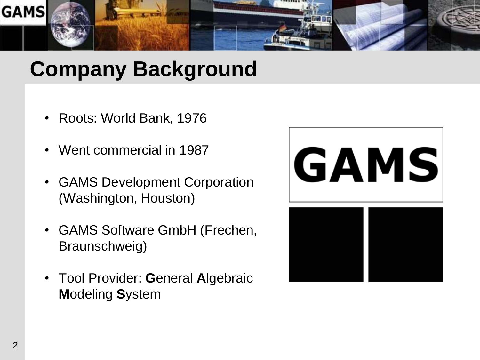

## **Company Background**

- Roots: World Bank, 1976
- Went commercial in 1987
- GAMS Development Corporation (Washington, Houston)
- GAMS Software GmbH (Frechen, Braunschweig)
- Tool Provider: **G**eneral **A**lgebraic **M**odeling **S**ystem

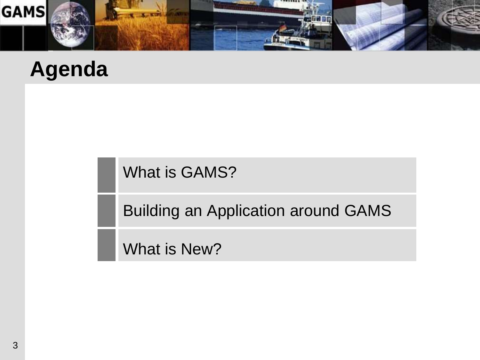

#### **Agenda**

What is GAMS?

Building an Application around GAMS

What is New?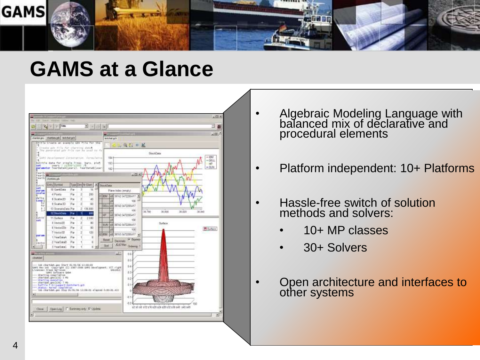

#### **GAMS at a Glance**



- Algebraic Modeling Language with balanced mix of declarative and procedural elements
- Platform independent: 10+ Platforms
- Hassle-free switch of solution methods and solvers:
	- 10+ MP classes
	- 30+ Solvers
- Open architecture and interfaces to other systems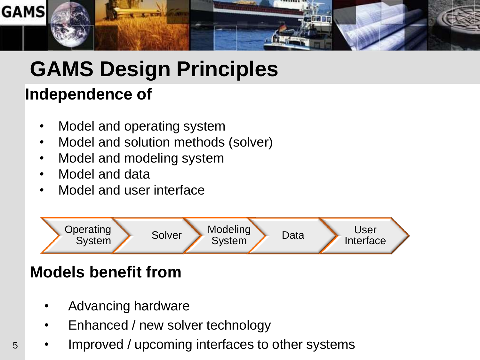

## **GAMS Design Principles**

#### **Independence of**

- Model and operating system
- Model and solution methods (solver)
- Model and modeling system
- Model and data
- Model and user interface



#### **Models benefit from**

- Advancing hardware
- Enhanced / new solver technology
- Improved / upcoming interfaces to other systems

5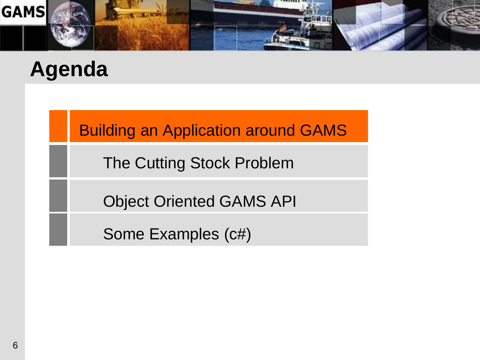

#### **Agenda**

Building an Application around GAMS

The Cutting Stock Problem

Object Oriented GAMS API

Some Examples (c#)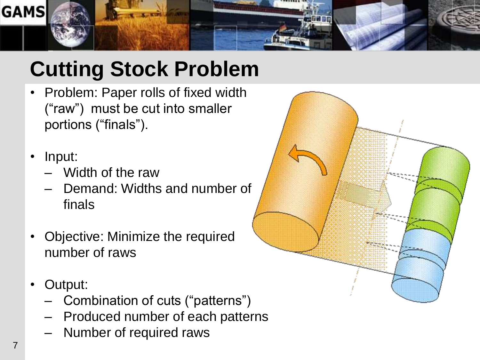

## **Cutting Stock Problem**

- Problem: Paper rolls of fixed width ("raw") must be cut into smaller portions ("finals").
- Input:
	- Width of the raw
	- Demand: Widths and number of finals
- Objective: Minimize the required number of raws
- Output:
	- Combination of cuts ("patterns")
	- Produced number of each patterns
	- Number of required raws

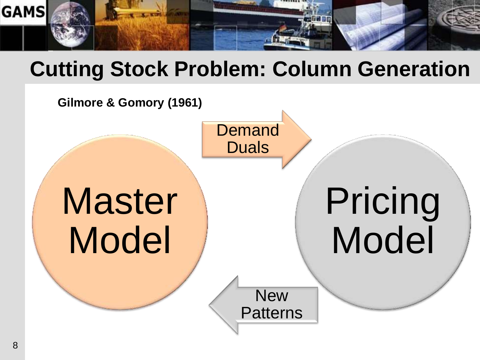

#### **Cutting Stock Problem: Column Generation**

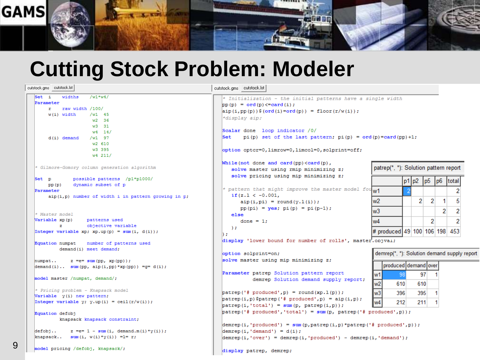

#### **Cutting Stock Problem: Modeler**

9

| cutstock.gms cutstock.ist                                         | cutstock.gms cutstock.ist                                                                                                                                                         |   |  |  |  |
|-------------------------------------------------------------------|-----------------------------------------------------------------------------------------------------------------------------------------------------------------------------------|---|--|--|--|
| Set i<br>widths<br>$/w1*w4/$                                      | * Initialization - the initial patterns have a sıngle wıdth                                                                                                                       |   |  |  |  |
| Parameter                                                         | $pp(p) = ord(p) \leq card(i);$                                                                                                                                                    |   |  |  |  |
| raw width /100/<br>r.                                             | $\left  \text{aip}\left( i, \text{pp}\left( p \right) \right) \right $ $\left  \text{ord}\left( i \right) \right  = \text{ord}\left( p \right)$ = floor $\left( r/w(i) \right)$ ; |   |  |  |  |
| $w(i)$ width<br>$/w1$ 45                                          |                                                                                                                                                                                   |   |  |  |  |
| $w2$ 36                                                           | *display aip;                                                                                                                                                                     |   |  |  |  |
| $w3$ 31                                                           |                                                                                                                                                                                   |   |  |  |  |
| $w4 \quad 14/$                                                    | Scalar done loop indicator /0/                                                                                                                                                    |   |  |  |  |
| $/w1$ 97<br>$d(i)$ demand                                         | Set<br>pi(p) set of the last pattern; $pi(p) = ord(p) = card(pp) + 1$ ;                                                                                                           |   |  |  |  |
| w2 610                                                            |                                                                                                                                                                                   |   |  |  |  |
| w3 395                                                            | option optcr=0,limrow=0,limcol=0,solprint=off;                                                                                                                                    |   |  |  |  |
| w4 211/                                                           |                                                                                                                                                                                   |   |  |  |  |
|                                                                   | While(not done and card(pp) <card(p),< td=""><td></td></card(p),<>                                                                                                                |   |  |  |  |
| * Gilmore-Gomory column generation algorithm                      | patrep(*, *): Solution pattern report<br>solve master using rmip minimizing z;                                                                                                    |   |  |  |  |
|                                                                   | solve pricing using mip minimizing z;                                                                                                                                             |   |  |  |  |
| Set p<br>possible patterns /p1*p1000/                             | $p1$ $p2$<br>p <sub>5</sub><br>p <sub>6</sub><br> total                                                                                                                           |   |  |  |  |
| dynamic subset of p<br>pp(p)                                      | * pattern that might improve the master model fou $w1$                                                                                                                            |   |  |  |  |
| Parameter                                                         | if $(z.1 < -0.001$ ,                                                                                                                                                              | 2 |  |  |  |
| $aip(i, p)$ number of width i in pattern growing in p.            | $\overline{2}$<br>2<br>w2<br>1<br>$aip(i,pi) = round(y.l(i));$                                                                                                                    | 5 |  |  |  |
|                                                                   |                                                                                                                                                                                   |   |  |  |  |
| * Master model                                                    | $pp(pi) = yes; pi(p) = pi(p-1);$<br>2<br>wЗ                                                                                                                                       | 2 |  |  |  |
| Variable xp(p)<br>patterns used                                   | else                                                                                                                                                                              |   |  |  |  |
| z<br>objective variable                                           | w4<br>2<br>done = $1;$                                                                                                                                                            |   |  |  |  |
| Integer variable xp; xp.up(p) = sum(i, d(i));                     | $\rightarrow$<br># produced 49 100 106 198 453                                                                                                                                    |   |  |  |  |
|                                                                   | D÷.                                                                                                                                                                               |   |  |  |  |
| Equation numpat<br>number of patterns used                        | display 'lower bound for number of rolls', master.objval;                                                                                                                         |   |  |  |  |
| demand(i) meet demand;                                            |                                                                                                                                                                                   |   |  |  |  |
|                                                                   | demrep(*, *): Solution demand supply repor<br>option solprint=on;                                                                                                                 |   |  |  |  |
| $z = e = sum(pp, xp(pp));$<br>numpat                              | solve master using mip minimizing z;                                                                                                                                              |   |  |  |  |
| $demand(i) \ldots sum(pp, aip(i,pp) * xp(pp)) = g = d(i);$        | produced demand over                                                                                                                                                              |   |  |  |  |
|                                                                   | Parameter patrep Solution pattern report<br>97<br>98<br>w1                                                                                                                        |   |  |  |  |
| model master /numpat, demand/;                                    | demrep Solution demand supply report;                                                                                                                                             |   |  |  |  |
|                                                                   | w <sub>2</sub><br>610<br>610                                                                                                                                                      |   |  |  |  |
| * Pricing problem - Knapsack model                                | w <sub>3</sub><br>$[pattern('# produced', p) = round(xp.1(p));$                                                                                                                   |   |  |  |  |
| Variable y(i) new pattern;                                        | 395<br>396                                                                                                                                                                        |   |  |  |  |
| Integer variable y; y.up(i) = ceil(r/w(i));                       | $[pattern(i, p)$ Spatrep ('# produced', p) = aip(i, p);<br>w4<br>211<br>212                                                                                                       |   |  |  |  |
|                                                                   | $\mathbf{pattern}(i, 'total') = \mathbf{sum}(\mathbf{p}, \mathbf{pattern}(i, \mathbf{p}));$                                                                                       |   |  |  |  |
| Equation defobj                                                   | patrep('# produced','total') = sum(p, patrep('# produced',p));                                                                                                                    |   |  |  |  |
| knapsack knapsack constraint;                                     |                                                                                                                                                                                   |   |  |  |  |
|                                                                   | $\texttt{demrep}(i, 'produced') = sum(p, patrep(i, p) * patrep('f: produced', p))$ ;                                                                                              |   |  |  |  |
| defobj<br>z =e= 1 - sum (i, demand.m(i)*y(i));                    | $\text{demrep}(i, \text{'demand'}) = d(i);$                                                                                                                                       |   |  |  |  |
| $\lvert \text{knapsack.} \rvert$ sum (i, $w(i) * y(i)$ ) = 1 = r; | $\texttt{demrep}(i, 'over') = \texttt{demrep}(i, 'produced') - \texttt{demrep}(i, 'demand');$                                                                                     |   |  |  |  |
|                                                                   |                                                                                                                                                                                   |   |  |  |  |
| model pricing /defobj, knapsack/;                                 | display patrep, demrep;                                                                                                                                                           |   |  |  |  |
|                                                                   |                                                                                                                                                                                   |   |  |  |  |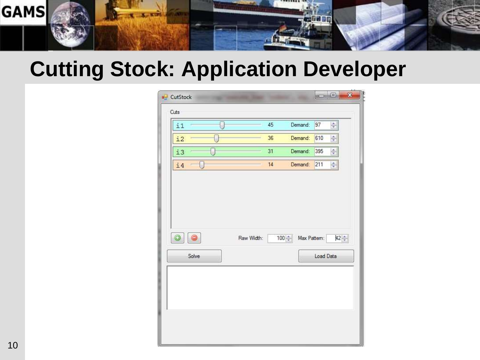

#### **Cutting Stock: Application Developer**

| <b>u</b> CutStock     |            |    |                       | $\Box$    |                     | X |
|-----------------------|------------|----|-----------------------|-----------|---------------------|---|
| Cuts<br>$\mathbf{i}$  |            | 45 | Demand:               | 97        | $\div$              |   |
| i2                    |            | 36 | Demand:               | 610       | $\frac{\lambda}{x}$ |   |
| i3                    |            | 31 | Demand:               | 395       | $\Rightarrow$       |   |
| i4<br>П               |            | 14 | Demand:               | 211       | ÷                   |   |
| $\odot$<br>0<br>Solve | Raw Width: |    | Max Pattern:<br>100 승 | Load Data | $42 \div$           |   |
|                       |            |    |                       |           |                     |   |
|                       |            |    |                       |           |                     |   |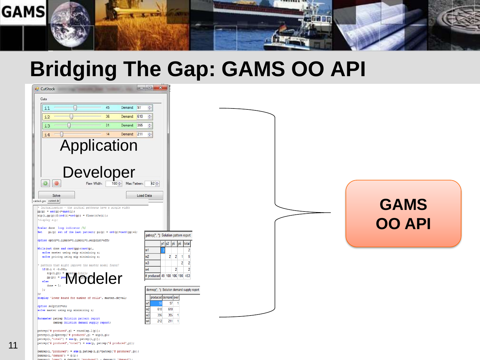

## **Bridging The Gap: GAMS OO API**

11

| <b>a</b> CutStock<br>Cuts<br>45<br>Demand: 97<br>$\mathbf{i}$<br>36<br>Demand: 610<br>i2<br>31<br>i3<br>Demand: 395<br>14<br>Demand: 211<br>i4<br><b>Application</b><br>Developer<br>$\circledcirc$<br>$\circledcirc$<br>100 Max Pattern:<br>Raw Width:                                                                                                                                                                                                                                                                                                                                                                                                                                                                                                                                                                       | $\Box$ $\Box$ $X$<br>$\frac{1}{4}$<br>$\Rightarrow$<br>승<br>$42 \div$                                                                                                                                                  |  |                              |
|-------------------------------------------------------------------------------------------------------------------------------------------------------------------------------------------------------------------------------------------------------------------------------------------------------------------------------------------------------------------------------------------------------------------------------------------------------------------------------------------------------------------------------------------------------------------------------------------------------------------------------------------------------------------------------------------------------------------------------------------------------------------------------------------------------------------------------|------------------------------------------------------------------------------------------------------------------------------------------------------------------------------------------------------------------------|--|------------------------------|
| Solve<br>cutstock.gms cutstock.lst<br>* Initialization - the initial patterns have a single width<br>$pp(p) = ord(p) \leftarrow card(i);$<br>$\alpha$ ip(i, pp(p)) $\alpha$ (ord(i)=ord(p)) = floor(r/w(i));<br>*display aip;<br>Scalar done loop indicator /0/<br>Set $pi(p)$ set of the last pattern; $pi(p) = ord(p) = card(pp) + 1$ ;<br>option optcr=0, limrow=0, limcol=0, solprint=off;<br>While (not done and card (pp) <card(p),< th=""><th>Load Data<br/>patrep(*, *): Solution pattern report<br/>p1 p2  p5  p6<br/>total<br/><math>\overline{2}</math></th><th></th><th><b>GAMS</b><br/><b>OO API</b></th></card(p),<>                                                                                                                                                                                            | Load Data<br>patrep(*, *): Solution pattern report<br>p1 p2  p5  p6<br>total<br>$\overline{2}$                                                                                                                         |  | <b>GAMS</b><br><b>OO API</b> |
| solve master using rmip minimizing z;<br>solve pricing using mip minimizing z;<br>pattern that might improve the master model found?<br>if $(z.1 < -0.001$ ,<br>$aip(i,pi) = i$<br>$\text{supp}\left(\mathbf{p1}\right) = \text{supp}\left(\mathbf{p2}\right) \text{supp}\left(\mathbf{p3}\right) = \text{supp}\left(\mathbf{p3}\right) \text{supp}\left(\mathbf{p4}\right) = \text{supp}\left(\mathbf{p4}\right) = \text{supp}\left(\mathbf{p4}\right) = \text{supp}\left(\mathbf{p4}\right) = \text{supp}\left(\mathbf{p4}\right) = \text{supp}\left(\mathbf{p4}\right) = \text{supp}\left(\mathbf{p4}\right) = \text{supp}\left(\mathbf{p4}\right) = \text{supp}\left(\mathbf{p4}\right) = \$<br>else<br>done = $1$ ;<br>$\rightarrow$<br>display 'lower bound for number of rolls', master.objval;<br>option solprint=on; | м2<br>$2 \quad 2$<br>5<br>w3<br>$\overline{2}$<br>$\overline{2}$<br>$\overline{2}$<br>$\overline{2}$<br>N4<br>produced 49 100 106 198 453<br>demrep(*, *): Solution demand supply report<br>produced demand over<br>97 |  |                              |
| solve master using mip minimizing z;<br>Parameter patrep Solution pattern report<br>demrep Solution demand supply report;<br>$\text{pattern}('f produced', p) = \text{round}(xp.1(p));$<br>$\mathsf{pattern}(i, p)$ Spatrep('# produced', p) = aip(i, p);<br>$\text{pattern}(i, 'total') = \text{sum}(p, \text{pattern}(i, p))$ ;<br>$\mathsf{pattern}('\# produced', 'total') = \mathsf{sum}(\mathsf{p}, \ \mathsf{patrep}('\# produced', \mathsf{p}));$<br>$\verb demrep(i,'produced')  = sum(p, \verb patrep(i,p)*pattern('# produced', p)) ;$<br>$demren(i.'demand') = d(i):$                                                                                                                                                                                                                                             | W <sup>2</sup><br>610<br>610<br>$\frac{w^3}{w^4}$<br>396<br>395<br>212<br>211                                                                                                                                          |  |                              |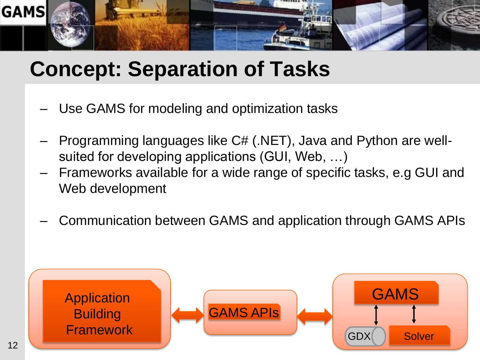

## **Concept: Separation of Tasks**

- Use GAMS for modeling and optimization tasks
- Programming languages like C# (.NET), Java and Python are wellsuited for developing applications (GUI, Web, …)
- Frameworks available for a wide range of specific tasks, e.g GUI and Web development
- Communication between GAMS and application through GAMS APIs

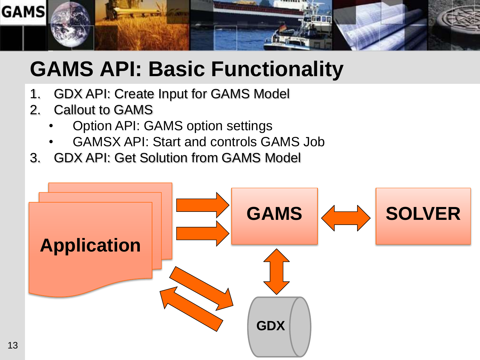

## **GAMS API: Basic Functionality**

- 1. GDX API: Create Input for GAMS Model
- 2. Callout to GAMS
	- Option API: GAMS option settings
	- GAMSX API: Start and controls GAMS Job
- 3. GDX API: Get Solution from GAMS Model

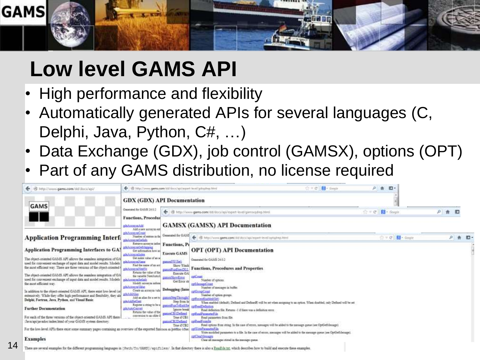

## **Low level GAMS API**

- High performance and flexibility
- Automatically generated APIs for several languages (C, Delphi, Java, Python, C#, …)
- Data Exchange (GDX), job control (GAMSX), options (OPT)
- Part of any GAMS distribution, no license required

| E http://www.gams.com/dd/dock/api/<br>÷                                                                                                                                                                               | B. Bittel/inny.gam.com/dd/doc/apliaged-leal/gdophy.html                                                                |                                                     |                                                                                                                                                                                                   | $C = C$ <b>N</b> - fingle | 户 音 | $n -$                           |     |         |
|-----------------------------------------------------------------------------------------------------------------------------------------------------------------------------------------------------------------------|------------------------------------------------------------------------------------------------------------------------|-----------------------------------------------------|---------------------------------------------------------------------------------------------------------------------------------------------------------------------------------------------------|---------------------------|-----|---------------------------------|-----|---------|
| <b>GAMS</b>                                                                                                                                                                                                           | <b>GDX (GDX) API Documentation</b>                                                                                     |                                                     |                                                                                                                                                                                                   |                           |     |                                 |     |         |
|                                                                                                                                                                                                                       | Generated for GAMS 24.0.2<br><b>Functions, Procedur</b><br><b>MAnnounage</b><br>Add a new account ent                  |                                                     | + @ http://www.gams.com/dd/docs/api/e-part-level/gamsodiep.html<br><b>GAMSX (GAMSX) API Documentation</b>                                                                                         |                           |     | $\triangle = C$ $\Box$ = Gought | 户食图 |         |
| <b>Application Programming Interf:</b>                                                                                                                                                                                | altAcrossed earl<br>Number of minimum<br>ebalanmuralerinin                                                             | Generated for GAMS                                  | @ http://www.gams.com/dil/doct/ap/regart-level/outging.html<br>↞                                                                                                                                  |                           |     | ☆ v で ( 間 · Gooth               |     | 户 青 四 - |
| <b>Application Programming Interfaces to GA!</b>                                                                                                                                                                      | Estrice account infat Functions, Pr<br>philonomichkeyag<br>Get information how au<br>gds.Acronygdiales                 | Execute GAMS                                        | <b>OPT (OPT) API Documentation</b>                                                                                                                                                                |                           |     |                                 |     |         |
| The object-priented GAMS API allows the segmless integration of GA<br>used for convenient exchange of input data and model results. Models<br>the most efficient way. There are three versions of the object-oriented | Get index value of an ac-<br>addonumNeer<br>Find the name of an air.<br>pitAcanomasin                                  | games5 W13s0<br>Show Wind<br>smith and vertic       | Opporated for GAMS 34.0.3<br><b>Functions, Procedures and Properties</b>                                                                                                                          |                           |     |                                 |     |         |
| The object-criented GAMS API allows the seamless integration of GA<br>used for convenient exchange of input data and model results. Models<br>the most efficient way.                                                 | Returns the value of the<br>the curichly Next Asia.<br>adsAcrossenfietings<br>Modély amontra inform<br>edxActorum/abbe | Execute GA<br><b>MissShowError</b><br>Get Error str | <b>STARTER</b><br>Number of options.<br>ref/leman@oast<br>Number of messages in buffer.                                                                                                           |                           |     |                                 |     |         |
| In addition to the object-criented GAMS API, there exist low-level (or<br>extensively. While they offer high performance and flexibility, they als<br>Delphi, Fortran, Java, Python, and Visual Baxic.                | Cheate as accounts Valla<br>plichddhlim<br>Add an altar for a set to games StepThrough<br>pitAddied ent                | Debugging (Inter<br>Step from In                    | mitorage out<br>Number of retion groups.<br>enthornee English Set<br>When stubled (default), Defined and DefinedR vill be set when satisfamp to an option. When doubled, only Defined will be set |                           |     |                                 |     |         |
| <b>Further Documentation</b>                                                                                                                                                                                          | Register a string to be u gammEan infinition applicadiled action<br>adaAutaConvert<br>Returns the value of the         | imaces house<br>parane CB1D sfinal                  | Read definition file. Renano -1 if there was a definition error.<br>criftsaffanmeterfile                                                                                                          |                           |     |                                 |     |         |
| For each of the three versions of the object-criented GAMS API there I<br>Tava ant unudoe index himl of your GAMS system directory.                                                                                   | conversion to an older.                                                                                                | True if CB1<br>namonCH3Definad<br>True if CB2       | Read parameters from file.<br>critical results<br>Read options from string. In the case of errors, messages trill be added to the message queue (see OptGef).(essage).                            |                           |     |                                 |     |         |
| For the low-level APIs there exist some summary pages containing an overview of the exported function in pietido 660e;                                                                                                |                                                                                                                        |                                                     | artister experientile<br>Write modified parameters to a file. In the case of errors, messages will be added to the message queue (see OprCethfetnage).                                            |                           |     |                                 |     |         |
| <b>Examples</b>                                                                                                                                                                                                       |                                                                                                                        |                                                     | retCountersans<br>Clear all massages: stored in the massage costas.                                                                                                                               |                           |     |                                 |     |         |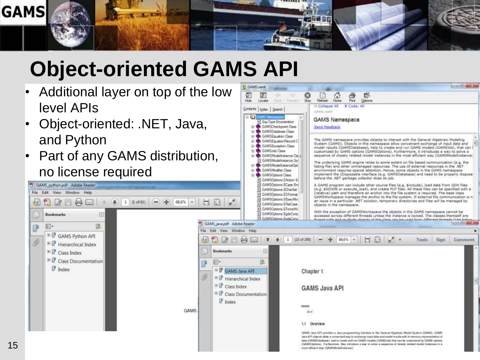

GAMS.net4

## **Object-oriented GAMS API**

- Additional layer on top of the low level APIs
- Object-oriented: .NET, Java, and Python
- Part of any GAMS distribution, no license required

 $\boxed{4}$ 

區

GAMS\_python.pdf - Adobe Reader

File Edit View Window Help

<sup>ED</sup> GAMS Python API

<sup>B</sup> Hierarchical Index E Class Index

**P** Index

<sup>B</sup> Class Documentation

**Bookmarks** 

图·

P

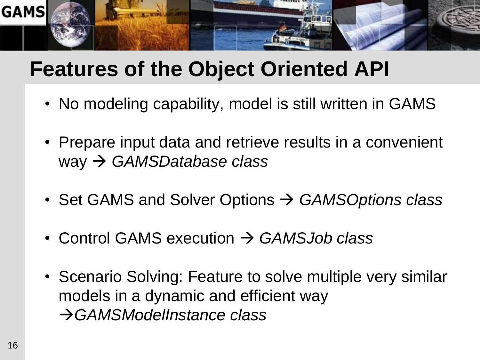

## **Features of the Object Oriented API**

- No modeling capability, model is still written in GAMS
- Prepare input data and retrieve results in a convenient way *GAMSDatabase class*
- Set GAMS and Solver Options *GAMSOptions class*
- Control GAMS execution *GAMSJob class*
- Scenario Solving: Feature to solve multiple very similar models in a dynamic and efficient way *GAMSModelInstance class*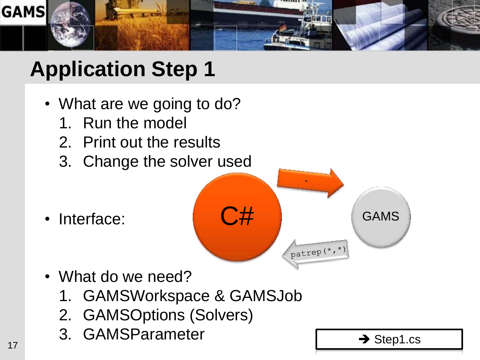

- What are we going to do?
	- 1. Run the model
	- 2. Print out the results
	- 3. Change the solver used

• Interface:



- What do we need?
	- 1. GAMSWorkspace & GAMSJob
	- 2. GAMSOptions (Solvers)
- 3. GAMSParameter  $\begin{array}{c} 3. \end{array}$  Step1.cs

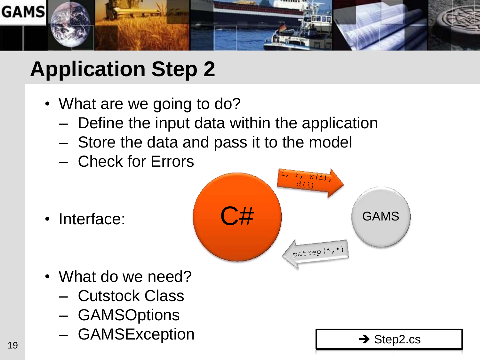

- What are we going to do?
	- Define the input data within the application
	- Store the data and pass it to the model
	- Check for Errors

• Interface:



- What do we need?
	- Cutstock Class
	- GAMSOptions
- GAMSException  $\rightarrow$  Step2.cs  $\rightarrow$  Step2.cs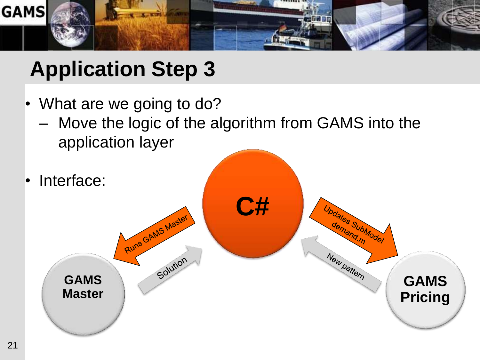

- What are we going to do?
	- Move the logic of the algorithm from GAMS into the application layer
- Interface:

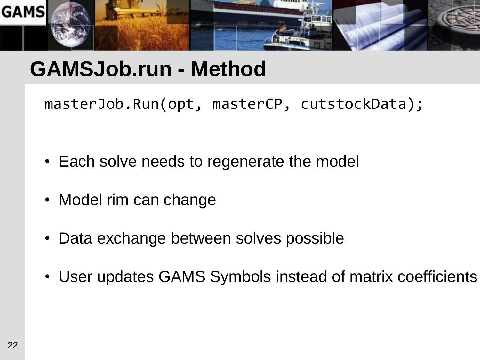

#### **GAMSJob.run - Method**

masterJob.Run(opt, masterCP, cutstockData);

- Each solve needs to regenerate the model
- Model rim can change
- Data exchange between solves possible
- User updates GAMS Symbols instead of matrix coefficients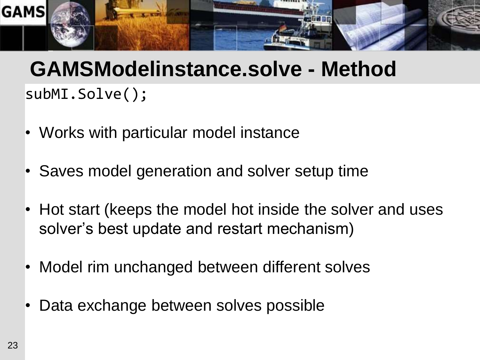

## subMI.Solve(); **GAMSModelinstance.solve - Method**

- Works with particular model instance
- Saves model generation and solver setup time
- Hot start (keeps the model hot inside the solver and uses solver's best update and restart mechanism)
- Model rim unchanged between different solves
- Data exchange between solves possible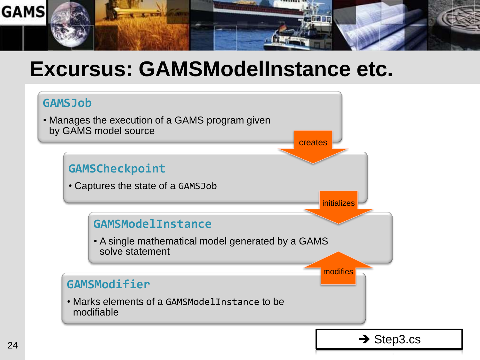

#### **Excursus: GAMSModelInstance etc.**

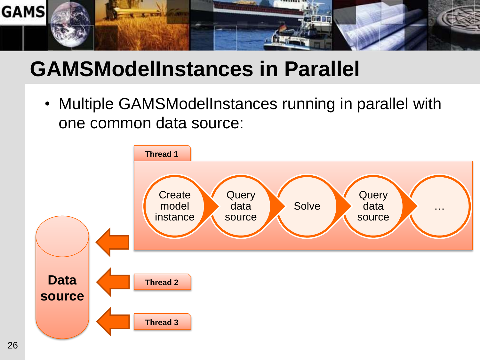

## **GAMSModelInstances in Parallel**

• Multiple GAMSModelInstances running in parallel with one common data source:

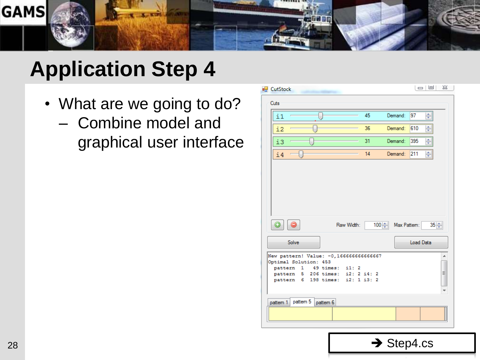

- What are we going to do?
	- Combine model and graphical user interface

| all CutStock                                                                   | 23<br>$\Box$ |
|--------------------------------------------------------------------------------|--------------|
| Cuts                                                                           |              |
| 45<br>Demand:<br>i1                                                            | 97<br>÷      |
| Demand:<br>36<br>i2                                                            | ÷<br>610     |
| 31<br>Demand:<br>iЗ                                                            | ÷<br>395     |
| 14<br>Demand:<br>i4                                                            | ÷<br>211     |
|                                                                                |              |
|                                                                                |              |
|                                                                                |              |
|                                                                                |              |
| 100 Max Pattern:<br>Raw Width:                                                 | $35 -$       |
| Solve                                                                          | Load Data    |
| New pattern! Value: -0,166666666666667<br>Optimal Solution: 453                | ۸            |
| 49 times: i1: 2<br>pattern<br>1                                                |              |
| 206 times: i2: 2 i4: 2<br>pattern<br>5.<br>198 times: i2: 1 i3: 2<br>pattern 6 | Ξ            |
|                                                                                |              |
| pattem 5<br>pattem 1<br>pattern 6                                              |              |
|                                                                                |              |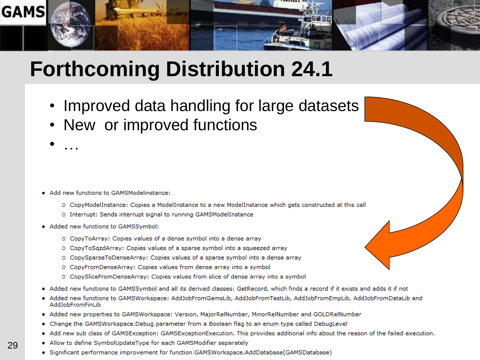

## **Forthcoming Distribution 24.1**

- Improved data handling for large datasets
- New or improved functions

- Add new functions to GAMSModelinstance:
	- O CopyModelInstance: Copies a ModelInstance to a new ModelInstance which gets constructed at this call
	- O Interrupt: Sends interrupt signal to running GAMSModelInstance
- Added new functions to GAMSSymbol:

• …

- O CopyToArray: Copies values of a dense symbol into a dense array
- O CopyToSqzdArray: Copies values of a sparse symbol into a squeezed array
- O CopySparseToDenseArray: Copies values of a sparse symbol into a dense array
- O CopyFromDenseArray: Copies values from dense array into a symbol
- O CopySliceFromDenseArray: Copies values from slice of dense array into a symbol
- Added new functions to GAMSSymbol and all its derived classes: GetRecord, which finds a record if it exists and adds it if not
- Added new functions to GAMSWorkspace: AddJobFromGamsLib, AddJobFromTestLib, AddJobFromEmpLib, AddJobFromDataLib and AddJobFromFinLib
- Added new properties to GAMSWorkspace: Version, MajorRelNumber, MinorRelNumber and GOLDRelNumber 4.
- Change the GAMSWorkspace.Debug parameter from a Boolean flag to an enum type called DebugLevel
- Add new sub class of GAMSException: GAMSExceptionExecution. This provides additional info about the reason of the failed execution.
- Allow to define SymbolUpdateType for each GAMSModifier separately
- · Significant performance improvement for function GAMSWorkspace.AddDatabase(GAMSDatabase)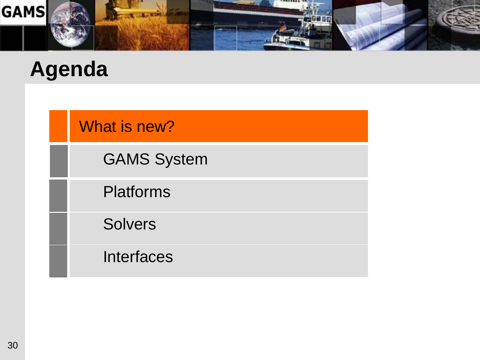

#### **Agenda**

What is new?

GAMS System

Platforms

**Solvers** 

**Interfaces**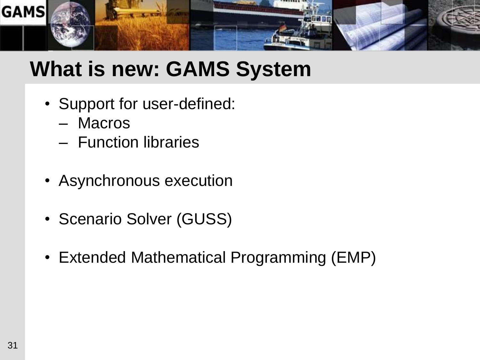

## **What is new: GAMS System**

- Support for user-defined:
	- Macros
	- Function libraries
- Asynchronous execution
- Scenario Solver (GUSS)
- Extended Mathematical Programming (EMP)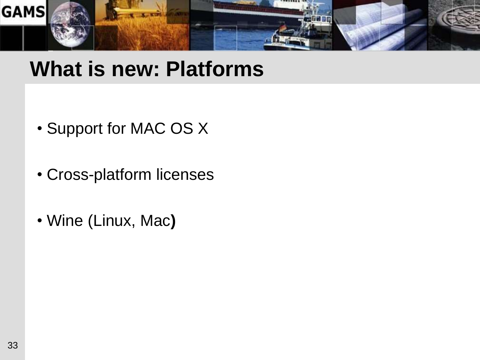

#### **What is new: Platforms**

- Support for MAC OS X
- Cross-platform licenses
- Wine (Linux, Mac**)**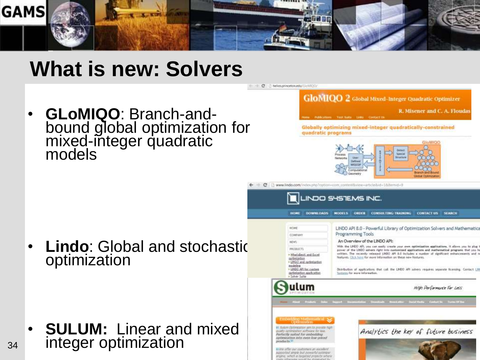

#### **What is new: Solvers**

• **GLoMIQO**: Branch-andbound global optimization for mixed-integer quadratic models

**GloMIOO 2** Global Mixed-Integer Quadratic Optimizer

R. Misener and C. A. Floudas

Globally optimizing mixed-integer quadratically-constrained quadratic programs



← → C [] www.lindo.com/extex.php?option=com content&view=article&id=1&fternid=9

C | helios.princeton.edu/GloMIQO



• **Lindo**: Global and stochastic optimization

• **SULUM:** Linear and mixed integer optimization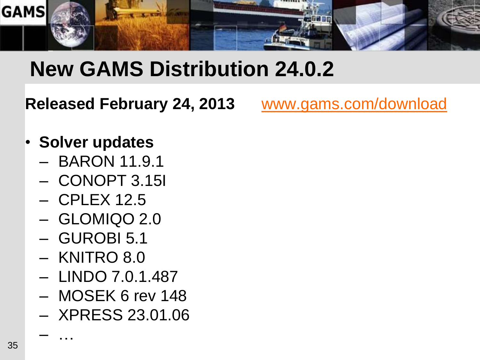

## **New GAMS Distribution 24.0.2**

**Released February 24, 2013** [www.gams.com/download](http://www.gams.com/download)

- **Solver updates**
	- BARON 11.9.1
	- CONOPT 3.15I
	- CPLEX 12.5
	- GLOMIQO 2.0
	- GUROBI 5.1
	- KNITRO 8.0
	- LINDO 7.0.1.487
	- MOSEK 6 rev 148
	- XPRESS 23.01.06

– …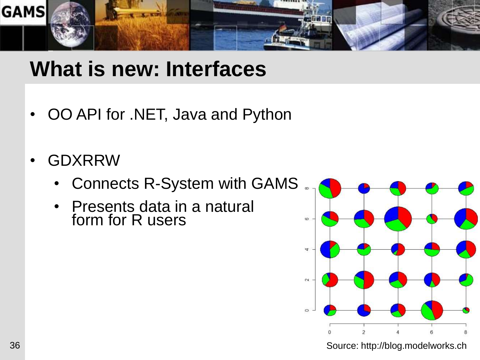

#### **What is new: Interfaces**

- OO API for .NET, Java and Python
- GDXRRW
	- Connects R-System with GAMS
	- Presents data in a natural form for R users



Source: http://blog.modelworks.ch